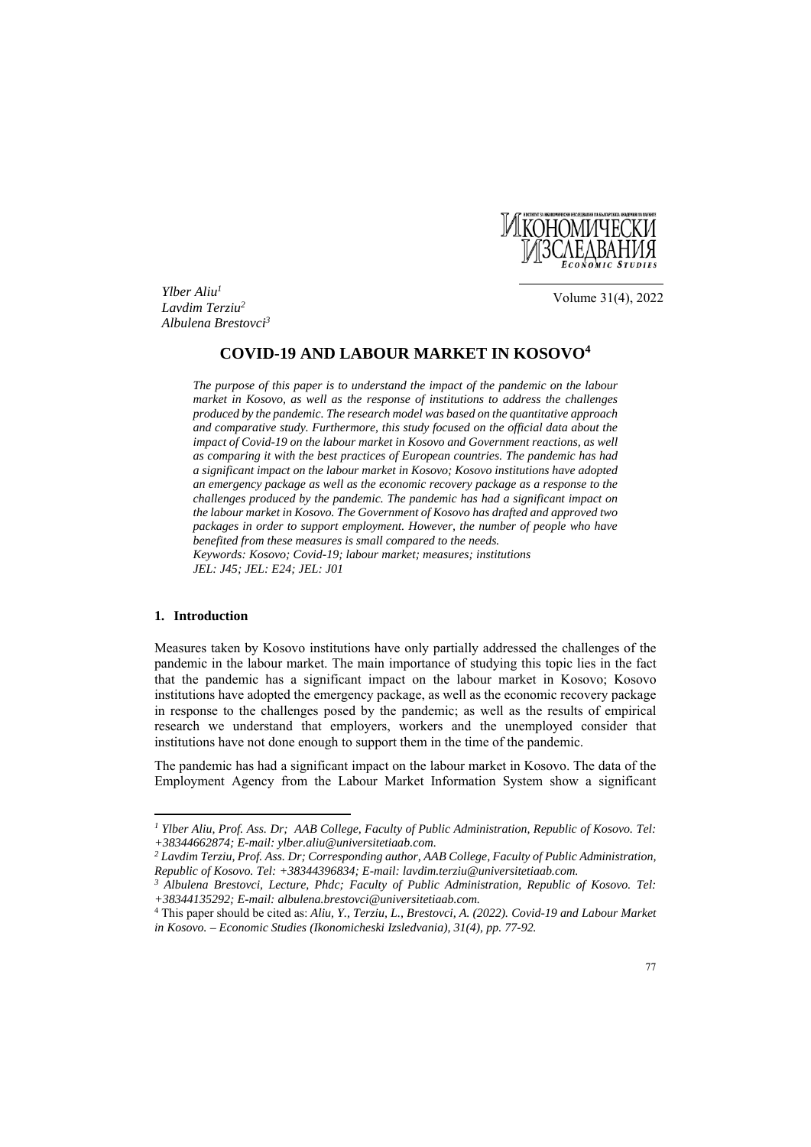

*Ylber Aliu1 Lavdim Terziu2 Albulena Brestovci3*

Volume 31(4), 2022

# **COVID-19 AND LABOUR MARKET IN KOSOVO4**

*The purpose of this paper is to understand the impact of the pandemic on the labour market in Kosovo, as well as the response of institutions to address the challenges produced by the pandemic. The research model was based on the quantitative approach and comparative study. Furthermore, this study focused on the official data about the impact of Covid-19 on the labour market in Kosovo and Government reactions, as well as comparing it with the best practices of European countries. The pandemic has had a significant impact on the labour market in Kosovo; Kosovo institutions have adopted an emergency package as well as the economic recovery package as a response to the challenges produced by the pandemic. The pandemic has had a significant impact on the labour market in Kosovo. The Government of Kosovo has drafted and approved two packages in order to support employment. However, the number of people who have benefited from these measures is small compared to the needs. Keywords: Kosovo; Covid-19; labour market; measures; institutions JEL: J45; JEL: E24; JEL: J01* 

## **1. Introduction**

 $\overline{\phantom{a}}$ 

Measures taken by Kosovo institutions have only partially addressed the challenges of the pandemic in the labour market. The main importance of studying this topic lies in the fact that the pandemic has a significant impact on the labour market in Kosovo; Kosovo institutions have adopted the emergency package, as well as the economic recovery package in response to the challenges posed by the pandemic; as well as the results of empirical research we understand that employers, workers and the unemployed consider that institutions have not done enough to support them in the time of the pandemic.

The pandemic has had a significant impact on the labour market in Kosovo. The data of the Employment Agency from the Labour Market Information System show a significant

*<sup>1</sup> Ylber Aliu, Prof. Ass. Dr; AAB College, Faculty of Public Administration, Republic of Kosovo. Tel: +38344662874; E-mail: ylber.aliu@universitetiaab.com.* 

*<sup>2</sup> Lavdim Terziu, Prof. Ass. Dr; Corresponding author, AAB College, Faculty of Public Administration, Republic of Kosovo. Tel: +38344396834; E-mail: lavdim.terziu@universitetiaab.com. 3 Albulena Brestovci, Lecture, Phdc; Faculty of Public Administration, Republic of Kosovo. Tel:* 

*<sup>+38344135292;</sup> E-mail: albulena.brestovci@universitetiaab.com.*

<sup>4</sup> This paper should be cited as: *Aliu, Y., Terziu, L., Brestovci, A. (2022). Covid-19 and Labour Market in Kosovo. – Economic Studies (Ikonomicheski Izsledvania), 31(4), pp. 77-92.*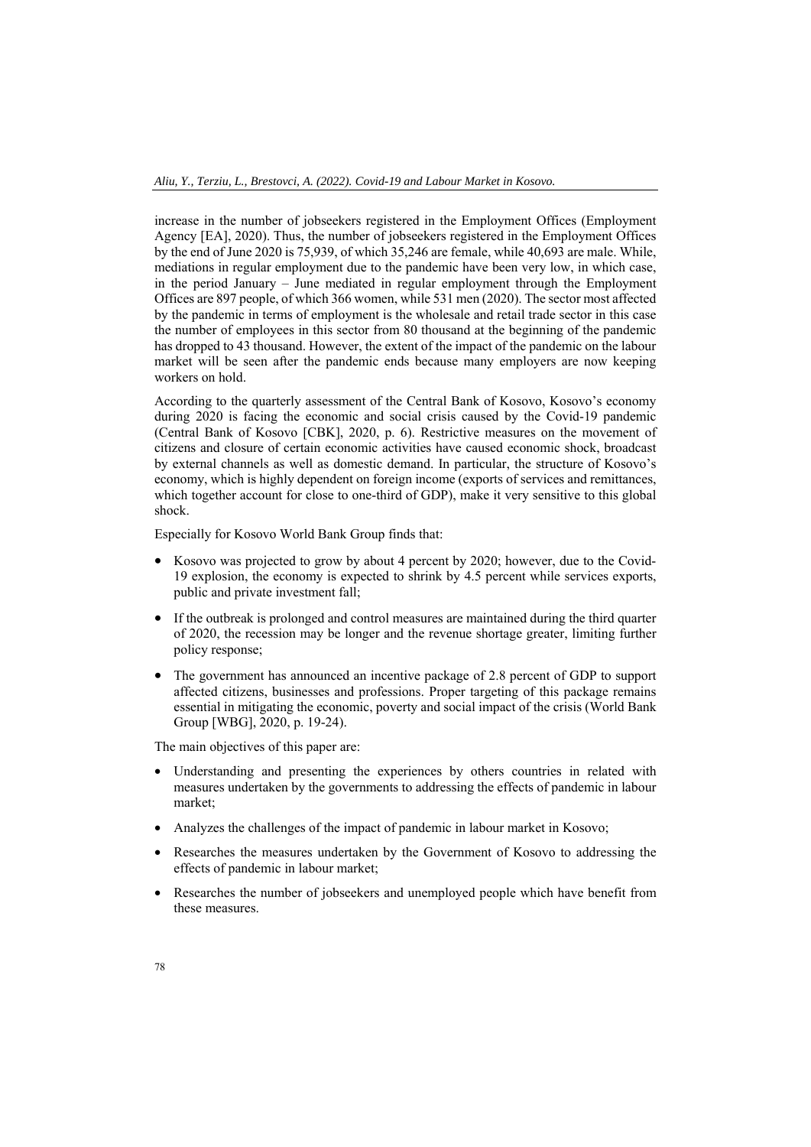increase in the number of jobseekers registered in the Employment Offices (Employment Agency [EA], 2020). Thus, the number of jobseekers registered in the Employment Offices by the end of June 2020 is 75,939, of which 35,246 are female, while 40,693 are male. While, mediations in regular employment due to the pandemic have been very low, in which case, in the period January – June mediated in regular employment through the Employment Offices are 897 people, of which 366 women, while 531 men (2020). The sector most affected by the pandemic in terms of employment is the wholesale and retail trade sector in this case the number of employees in this sector from 80 thousand at the beginning of the pandemic has dropped to 43 thousand. However, the extent of the impact of the pandemic on the labour market will be seen after the pandemic ends because many employers are now keeping workers on hold.

According to the quarterly assessment of the Central Bank of Kosovo, Kosovo's economy during 2020 is facing the economic and social crisis caused by the Covid-19 pandemic (Central Bank of Kosovo [CBK], 2020, p. 6). Restrictive measures on the movement of citizens and closure of certain economic activities have caused economic shock, broadcast by external channels as well as domestic demand. In particular, the structure of Kosovo's economy, which is highly dependent on foreign income (exports of services and remittances, which together account for close to one-third of GDP), make it very sensitive to this global shock.

Especially for Kosovo World Bank Group finds that:

- Kosovo was projected to grow by about 4 percent by 2020; however, due to the Covid-19 explosion, the economy is expected to shrink by 4.5 percent while services exports, public and private investment fall;
- If the outbreak is prolonged and control measures are maintained during the third quarter of 2020, the recession may be longer and the revenue shortage greater, limiting further policy response;
- The government has announced an incentive package of 2.8 percent of GDP to support affected citizens, businesses and professions. Proper targeting of this package remains essential in mitigating the economic, poverty and social impact of the crisis (World Bank Group [WBG], 2020, p. 19-24).

The main objectives of this paper are:

- Understanding and presenting the experiences by others countries in related with measures undertaken by the governments to addressing the effects of pandemic in labour market;
- Analyzes the challenges of the impact of pandemic in labour market in Kosovo;
- Researches the measures undertaken by the Government of Kosovo to addressing the effects of pandemic in labour market;
- Researches the number of jobseekers and unemployed people which have benefit from these measures.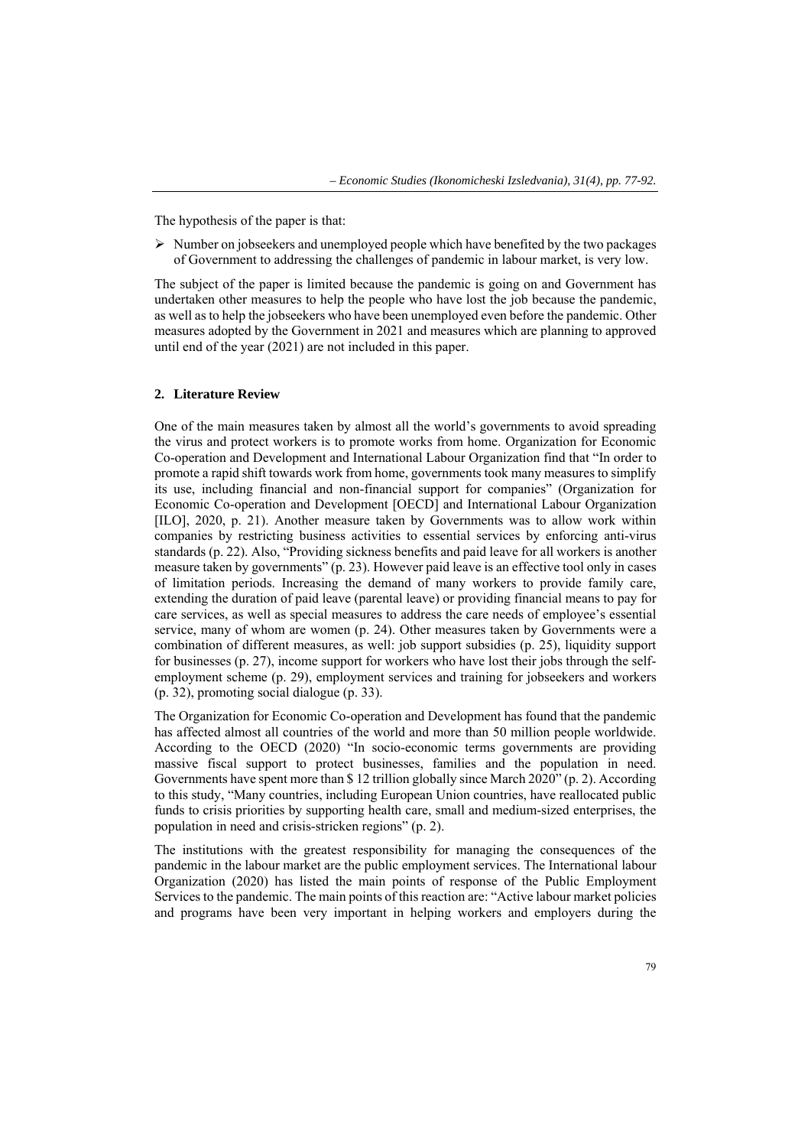The hypothesis of the paper is that:

 $\triangleright$  Number on jobseekers and unemployed people which have benefited by the two packages of Government to addressing the challenges of pandemic in labour market, is very low.

The subject of the paper is limited because the pandemic is going on and Government has undertaken other measures to help the people who have lost the job because the pandemic, as well as to help the jobseekers who have been unemployed even before the pandemic. Other measures adopted by the Government in 2021 and measures which are planning to approved until end of the year (2021) are not included in this paper.

## **2. Literature Review**

One of the main measures taken by almost all the world's governments to avoid spreading the virus and protect workers is to promote works from home. Organization for Economic Co-operation and Development and International Labour Organization find that "In order to promote a rapid shift towards work from home, governments took many measures to simplify its use, including financial and non-financial support for companies" (Organization for Economic Co-operation and Development [OECD] and International Labour Organization [ILO], 2020, p. 21). Another measure taken by Governments was to allow work within companies by restricting business activities to essential services by enforcing anti-virus standards (p. 22). Also, "Providing sickness benefits and paid leave for all workers is another measure taken by governments" (p. 23). However paid leave is an effective tool only in cases of limitation periods. Increasing the demand of many workers to provide family care, extending the duration of paid leave (parental leave) or providing financial means to pay for care services, as well as special measures to address the care needs of employee's essential service, many of whom are women (p. 24). Other measures taken by Governments were a combination of different measures, as well: job support subsidies (p. 25), liquidity support for businesses (p. 27), income support for workers who have lost their jobs through the selfemployment scheme (p. 29), employment services and training for jobseekers and workers (p. 32), promoting social dialogue (p. 33).

The Organization for Economic Co-operation and Development has found that the pandemic has affected almost all countries of the world and more than 50 million people worldwide. According to the OECD (2020) "In socio-economic terms governments are providing massive fiscal support to protect businesses, families and the population in need. Governments have spent more than \$ 12 trillion globally since March 2020" (p. 2). According to this study, "Many countries, including European Union countries, have reallocated public funds to crisis priorities by supporting health care, small and medium-sized enterprises, the population in need and crisis-stricken regions" (p. 2).

The institutions with the greatest responsibility for managing the consequences of the pandemic in the labour market are the public employment services. The International labour Organization (2020) has listed the main points of response of the Public Employment Services to the pandemic. The main points of this reaction are: "Active labour market policies and programs have been very important in helping workers and employers during the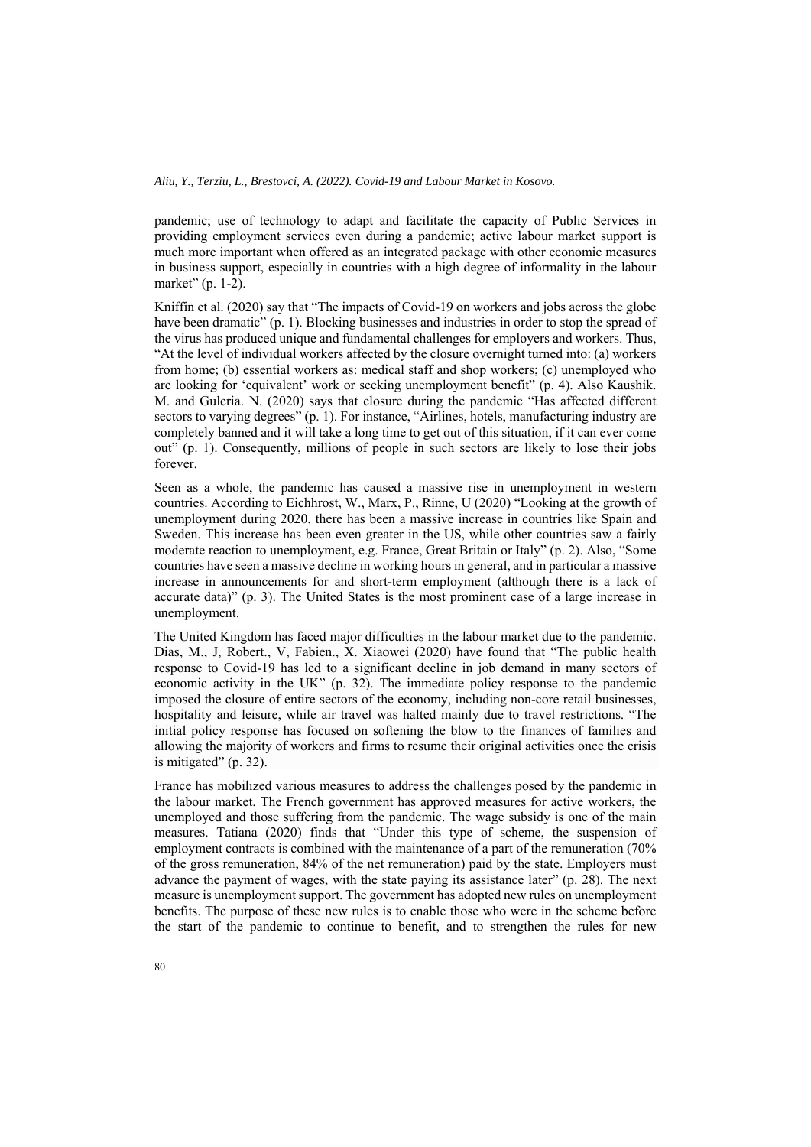pandemic; use of technology to adapt and facilitate the capacity of Public Services in providing employment services even during a pandemic; active labour market support is much more important when offered as an integrated package with other economic measures in business support, especially in countries with a high degree of informality in the labour market" (p. 1-2).

Kniffin et al. (2020) say that "The impacts of Covid-19 on workers and jobs across the globe have been dramatic" (p. 1). Blocking businesses and industries in order to stop the spread of the virus has produced unique and fundamental challenges for employers and workers. Thus, "At the level of individual workers affected by the closure overnight turned into: (a) workers from home; (b) essential workers as: medical staff and shop workers; (c) unemployed who are looking for 'equivalent' work or seeking unemployment benefit" (p. 4). Also Kaushik. M. and Guleria. N. (2020) says that closure during the pandemic "Has affected different sectors to varying degrees" (p. 1). For instance, "Airlines, hotels, manufacturing industry are completely banned and it will take a long time to get out of this situation, if it can ever come out" (p. 1). Consequently, millions of people in such sectors are likely to lose their jobs forever.

Seen as a whole, the pandemic has caused a massive rise in unemployment in western countries. According to Eichhrost, W., Marx, P., Rinne, U (2020) "Looking at the growth of unemployment during 2020, there has been a massive increase in countries like Spain and Sweden. This increase has been even greater in the US, while other countries saw a fairly moderate reaction to unemployment, e.g. France, Great Britain or Italy" (p. 2). Also, "Some countries have seen a massive decline in working hours in general, and in particular a massive increase in announcements for and short-term employment (although there is a lack of accurate data)" (p. 3). The United States is the most prominent case of a large increase in unemployment.

The United Kingdom has faced major difficulties in the labour market due to the pandemic. Dias, M., J, Robert., V, Fabien., X. Xiaowei (2020) have found that "The public health response to Covid-19 has led to a significant decline in job demand in many sectors of economic activity in the UK" (p. 32). The immediate policy response to the pandemic imposed the closure of entire sectors of the economy, including non-core retail businesses, hospitality and leisure, while air travel was halted mainly due to travel restrictions. "The initial policy response has focused on softening the blow to the finances of families and allowing the majority of workers and firms to resume their original activities once the crisis is mitigated" (p. 32).

France has mobilized various measures to address the challenges posed by the pandemic in the labour market. The French government has approved measures for active workers, the unemployed and those suffering from the pandemic. The wage subsidy is one of the main measures. Tatiana (2020) finds that "Under this type of scheme, the suspension of employment contracts is combined with the maintenance of a part of the remuneration (70% of the gross remuneration, 84% of the net remuneration) paid by the state. Employers must advance the payment of wages, with the state paying its assistance later" (p. 28). The next measure is unemployment support. The government has adopted new rules on unemployment benefits. The purpose of these new rules is to enable those who were in the scheme before the start of the pandemic to continue to benefit, and to strengthen the rules for new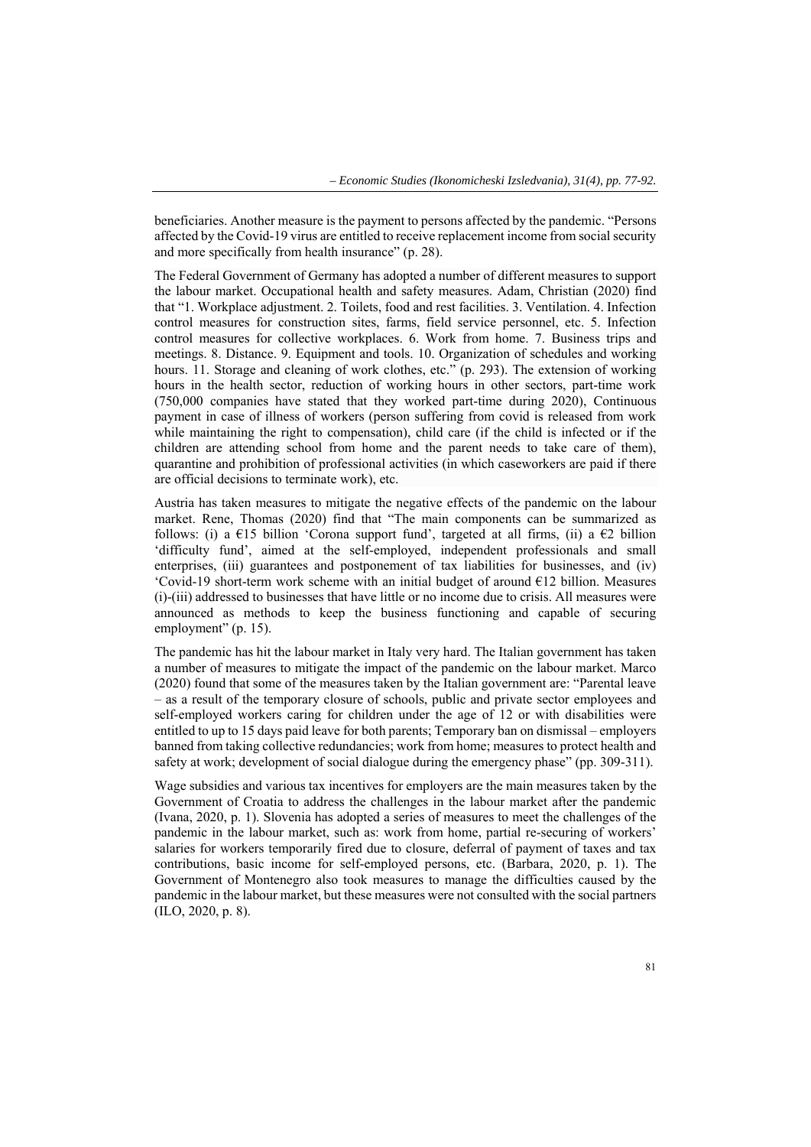beneficiaries. Another measure is the payment to persons affected by the pandemic. "Persons affected by the Covid-19 virus are entitled to receive replacement income from social security and more specifically from health insurance" (p. 28).

The Federal Government of Germany has adopted a number of different measures to support the labour market. Occupational health and safety measures. Adam, Christian (2020) find that "1. Workplace adjustment. 2. Toilets, food and rest facilities. 3. Ventilation. 4. Infection control measures for construction sites, farms, field service personnel, etc. 5. Infection control measures for collective workplaces. 6. Work from home. 7. Business trips and meetings. 8. Distance. 9. Equipment and tools. 10. Organization of schedules and working hours. 11. Storage and cleaning of work clothes, etc." (p. 293). The extension of working hours in the health sector, reduction of working hours in other sectors, part-time work (750,000 companies have stated that they worked part-time during 2020), Continuous payment in case of illness of workers (person suffering from covid is released from work while maintaining the right to compensation), child care (if the child is infected or if the children are attending school from home and the parent needs to take care of them), quarantine and prohibition of professional activities (in which caseworkers are paid if there are official decisions to terminate work), etc.

Austria has taken measures to mitigate the negative effects of the pandemic on the labour market. Rene, Thomas (2020) find that "The main components can be summarized as follows: (i) a  $\epsilon$ 15 billion 'Corona support fund', targeted at all firms, (ii) a  $\epsilon$ 2 billion 'difficulty fund', aimed at the self-employed, independent professionals and small enterprises, (iii) guarantees and postponement of tax liabilities for businesses, and (iv) 'Covid-19 short-term work scheme with an initial budget of around €12 billion. Measures (i)-(iii) addressed to businesses that have little or no income due to crisis. All measures were announced as methods to keep the business functioning and capable of securing employment" (p. 15).

The pandemic has hit the labour market in Italy very hard. The Italian government has taken a number of measures to mitigate the impact of the pandemic on the labour market. Marco (2020) found that some of the measures taken by the Italian government are: "Parental leave – as a result of the temporary closure of schools, public and private sector employees and self-employed workers caring for children under the age of 12 or with disabilities were entitled to up to 15 days paid leave for both parents; Temporary ban on dismissal – employers banned from taking collective redundancies; work from home; measures to protect health and safety at work; development of social dialogue during the emergency phase" (pp. 309-311).

Wage subsidies and various tax incentives for employers are the main measures taken by the Government of Croatia to address the challenges in the labour market after the pandemic (Ivana, 2020, p. 1). Slovenia has adopted a series of measures to meet the challenges of the pandemic in the labour market, such as: work from home, partial re-securing of workers' salaries for workers temporarily fired due to closure, deferral of payment of taxes and tax contributions, basic income for self-employed persons, etc. (Barbara, 2020, p. 1). The Government of Montenegro also took measures to manage the difficulties caused by the pandemic in the labour market, but these measures were not consulted with the social partners (ILO, 2020, p. 8).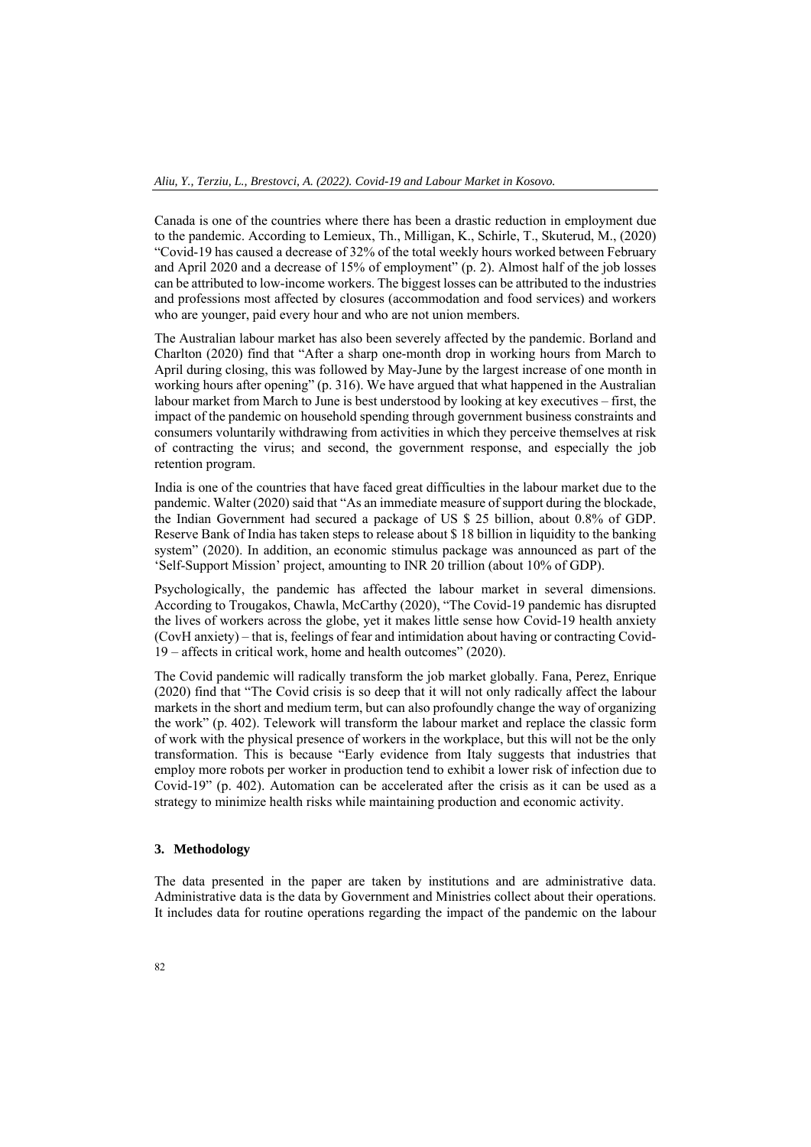Canada is one of the countries where there has been a drastic reduction in employment due to the pandemic. According to Lemieux, Th., Milligan, K., Schirle, T., Skuterud, M., (2020) "Covid-19 has caused a decrease of 32% of the total weekly hours worked between February and April 2020 and a decrease of 15% of employment" (p. 2). Almost half of the job losses can be attributed to low-income workers. The biggest losses can be attributed to the industries and professions most affected by closures (accommodation and food services) and workers who are younger, paid every hour and who are not union members.

The Australian labour market has also been severely affected by the pandemic. Borland and Charlton (2020) find that "After a sharp one-month drop in working hours from March to April during closing, this was followed by May-June by the largest increase of one month in working hours after opening" (p. 316). We have argued that what happened in the Australian labour market from March to June is best understood by looking at key executives – first, the impact of the pandemic on household spending through government business constraints and consumers voluntarily withdrawing from activities in which they perceive themselves at risk of contracting the virus; and second, the government response, and especially the job retention program.

India is one of the countries that have faced great difficulties in the labour market due to the pandemic. Walter (2020) said that "As an immediate measure of support during the blockade, the Indian Government had secured a package of US \$ 25 billion, about 0.8% of GDP. Reserve Bank of India has taken steps to release about \$ 18 billion in liquidity to the banking system" (2020). In addition, an economic stimulus package was announced as part of the 'Self-Support Mission' project, amounting to INR 20 trillion (about 10% of GDP).

Psychologically, the pandemic has affected the labour market in several dimensions. According to Trougakos, Chawla, McCarthy (2020), "The Covid-19 pandemic has disrupted the lives of workers across the globe, yet it makes little sense how Covid-19 health anxiety (CovH anxiety) – that is, feelings of fear and intimidation about having or contracting Covid-19 – affects in critical work, home and health outcomes" (2020).

The Covid pandemic will radically transform the job market globally. Fana, Perez, Enrique (2020) find that "The Covid crisis is so deep that it will not only radically affect the labour markets in the short and medium term, but can also profoundly change the way of organizing the work" (p. 402). Telework will transform the labour market and replace the classic form of work with the physical presence of workers in the workplace, but this will not be the only transformation. This is because "Early evidence from Italy suggests that industries that employ more robots per worker in production tend to exhibit a lower risk of infection due to Covid-19" (p. 402). Automation can be accelerated after the crisis as it can be used as a strategy to minimize health risks while maintaining production and economic activity.

### **3. Methodology**

The data presented in the paper are taken by institutions and are administrative data. Administrative data is the data by Government and Ministries collect about their operations. It includes data for routine operations regarding the impact of the pandemic on the labour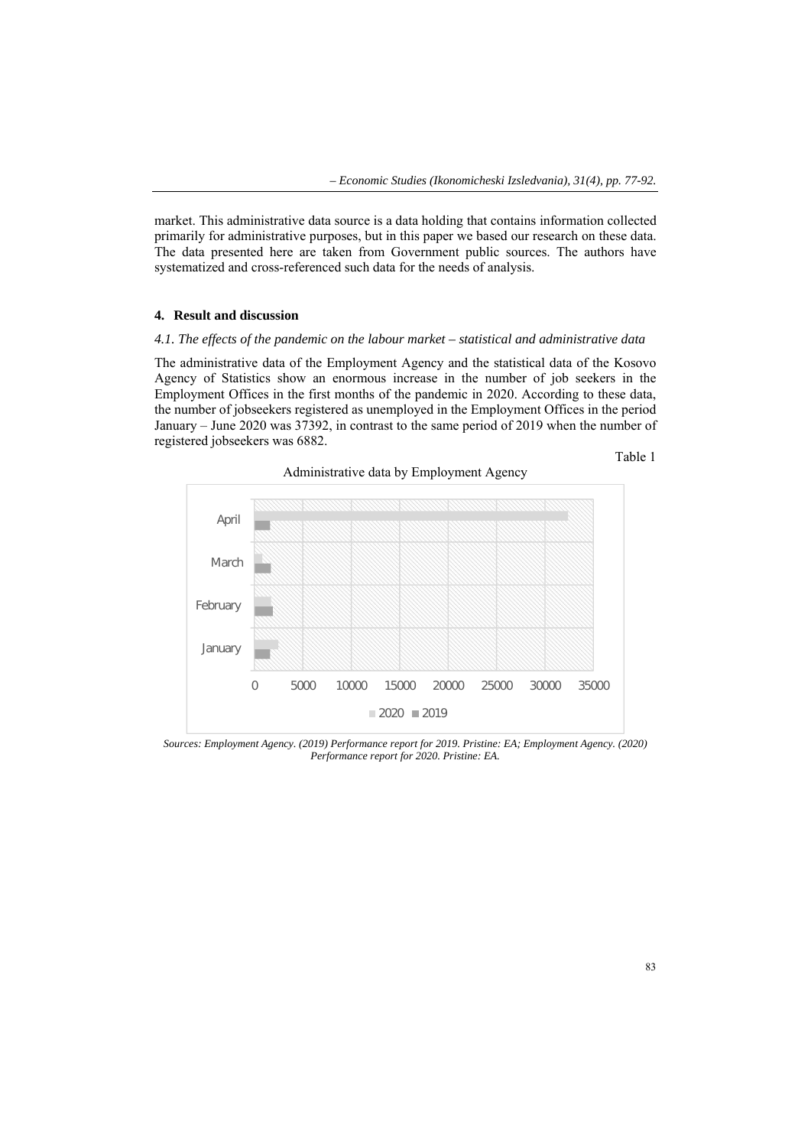market. This administrative data source is a data holding that contains information collected primarily for administrative purposes, but in this paper we based our research on these data. The data presented here are taken from Government public sources. The authors have systematized and cross-referenced such data for the needs of analysis.

## **4. Result and discussion**

### *4.1. The effects of the pandemic on the labour market – statistical and administrative data*

The administrative data of the Employment Agency and the statistical data of the Kosovo Agency of Statistics show an enormous increase in the number of job seekers in the Employment Offices in the first months of the pandemic in 2020. According to these data, the number of jobseekers registered as unemployed in the Employment Offices in the period January – June 2020 was 37392, in contrast to the same period of 2019 when the number of registered jobseekers was 6882.



*Sources: Employment Agency. (2019) Performance report for 2019. Pristine: EA; Employment Agency. (2020) Performance report for 2020. Pristine: EA.*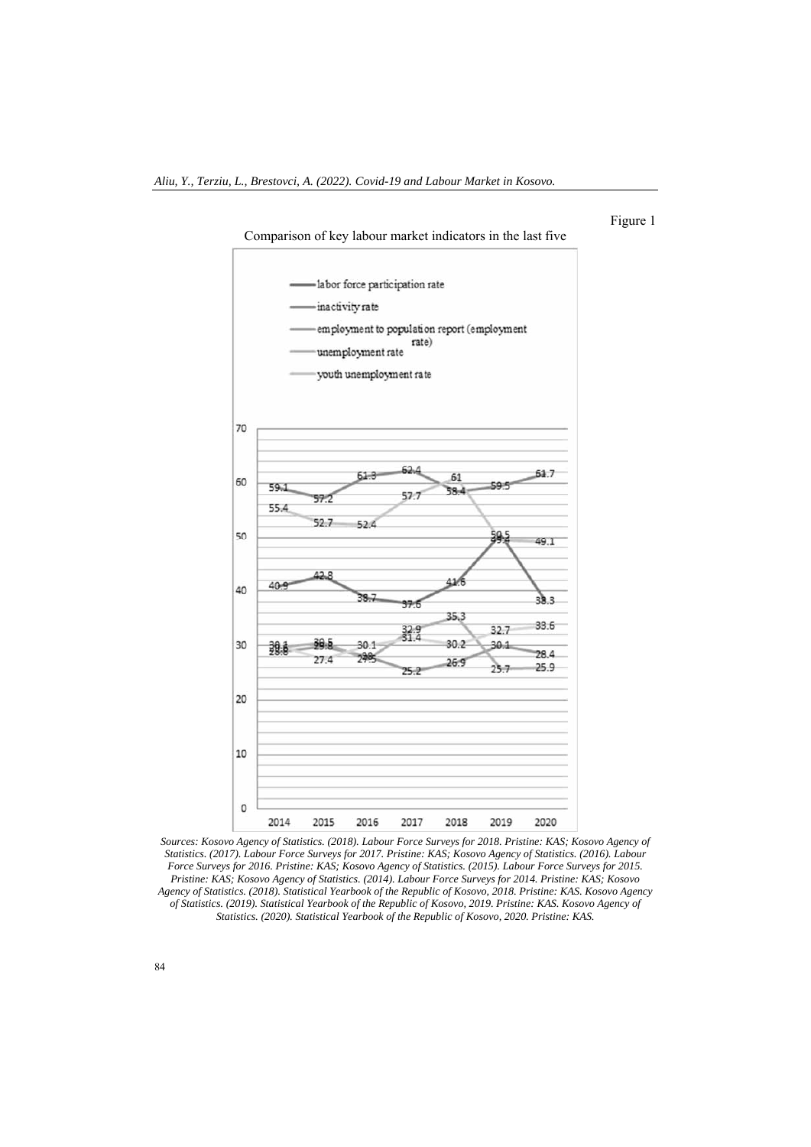

Figure 1

Sources: Kosovo Agency of Statistics. (2018). Labour Force Surveys for 2018. Pristine: KAS; Kosovo Agency of *Statistics. (2017). Labour Force Surveys for 2017. Pristine: KAS; Kosovo Agency of Statistics. (2016). Labour Force Surveys for 2016. Pristine: KAS; Kosovo Agency of Statistics. (2015). Labour Force Surveys for 2015. Pristine: KAS; Kosovo Agency of Statistics. (2014). Labour Force Surveys for 2014. Pristine: KAS; Kosovo Agency of Statistics. (2018). Statistical Yearbook of the Republic of Kosovo, 2018. Pristine: KAS. Kosovo Agency of Statistics. (2019). Statistical Yearbook of the Republic of Kosovo, 2019. Pristine: KAS. Kosovo Agency of Statistics. (2020). Statistical Yearbook of the Republic of Kosovo, 2020. Pristine: KAS.*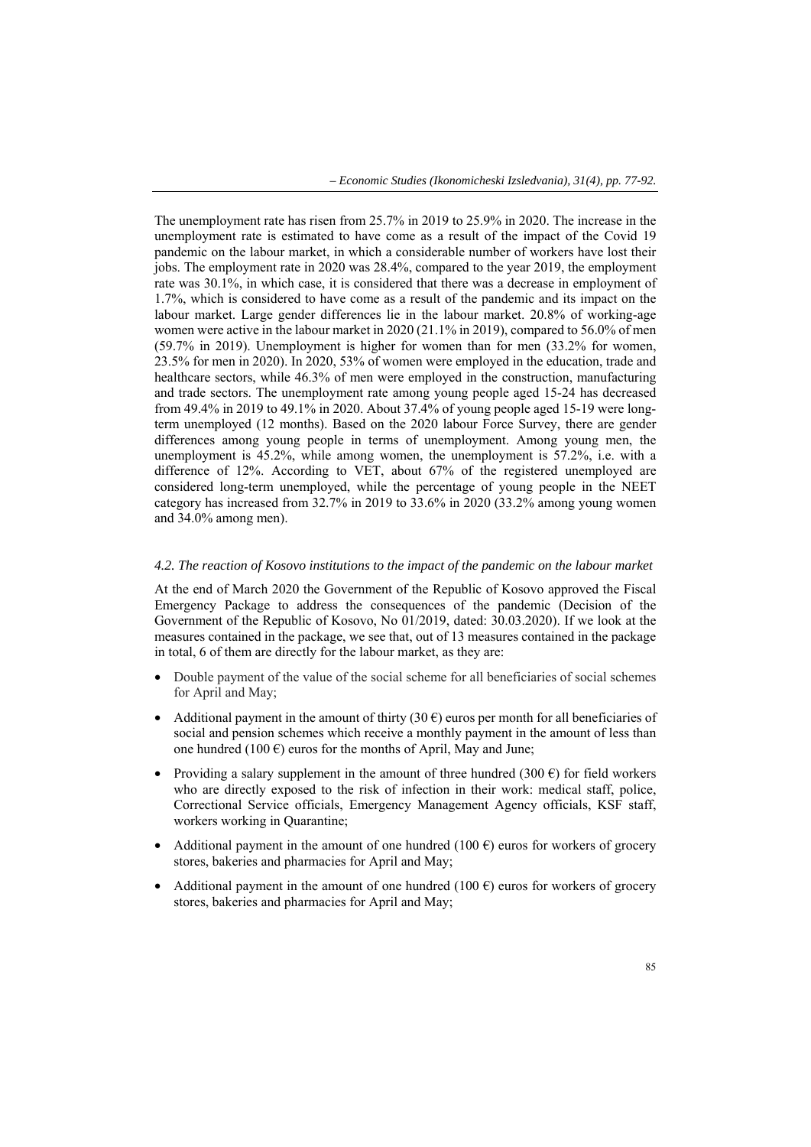The unemployment rate has risen from 25.7% in 2019 to 25.9% in 2020. The increase in the unemployment rate is estimated to have come as a result of the impact of the Covid 19 pandemic on the labour market, in which a considerable number of workers have lost their jobs. The employment rate in 2020 was 28.4%, compared to the year 2019, the employment rate was 30.1%, in which case, it is considered that there was a decrease in employment of 1.7%, which is considered to have come as a result of the pandemic and its impact on the labour market. Large gender differences lie in the labour market. 20.8% of working-age women were active in the labour market in 2020 (21.1% in 2019), compared to 56.0% of men (59.7% in 2019). Unemployment is higher for women than for men (33.2% for women, 23.5% for men in 2020). In 2020, 53% of women were employed in the education, trade and healthcare sectors, while 46.3% of men were employed in the construction, manufacturing and trade sectors. The unemployment rate among young people aged 15-24 has decreased from 49.4% in 2019 to 49.1% in 2020. About 37.4% of young people aged 15-19 were longterm unemployed (12 months). Based on the 2020 labour Force Survey, there are gender differences among young people in terms of unemployment. Among young men, the unemployment is 45.2%, while among women, the unemployment is 57.2%, i.e. with a difference of 12%. According to VET, about 67% of the registered unemployed are considered long-term unemployed, while the percentage of young people in the NEET category has increased from 32.7% in 2019 to 33.6% in 2020 (33.2% among young women and 34.0% among men).

### *4.2. The reaction of Kosovo institutions to the impact of the pandemic on the labour market*

At the end of March 2020 the Government of the Republic of Kosovo approved the Fiscal Emergency Package to address the consequences of the pandemic (Decision of the Government of the Republic of Kosovo, No 01/2019, dated: 30.03.2020). If we look at the measures contained in the package, we see that, out of 13 measures contained in the package in total, 6 of them are directly for the labour market, as they are:

- Double payment of the value of the social scheme for all beneficiaries of social schemes for April and May;
- Additional payment in the amount of thirty (30  $\epsilon$ ) euros per month for all beneficiaries of social and pension schemes which receive a monthly payment in the amount of less than one hundred (100  $\epsilon$ ) euros for the months of April, May and June;
- Providing a salary supplement in the amount of three hundred (300  $\epsilon$ ) for field workers who are directly exposed to the risk of infection in their work: medical staff, police, Correctional Service officials, Emergency Management Agency officials, KSF staff, workers working in Quarantine;
- Additional payment in the amount of one hundred (100  $\epsilon$ ) euros for workers of grocery stores, bakeries and pharmacies for April and May;
- Additional payment in the amount of one hundred (100  $\epsilon$ ) euros for workers of grocery stores, bakeries and pharmacies for April and May;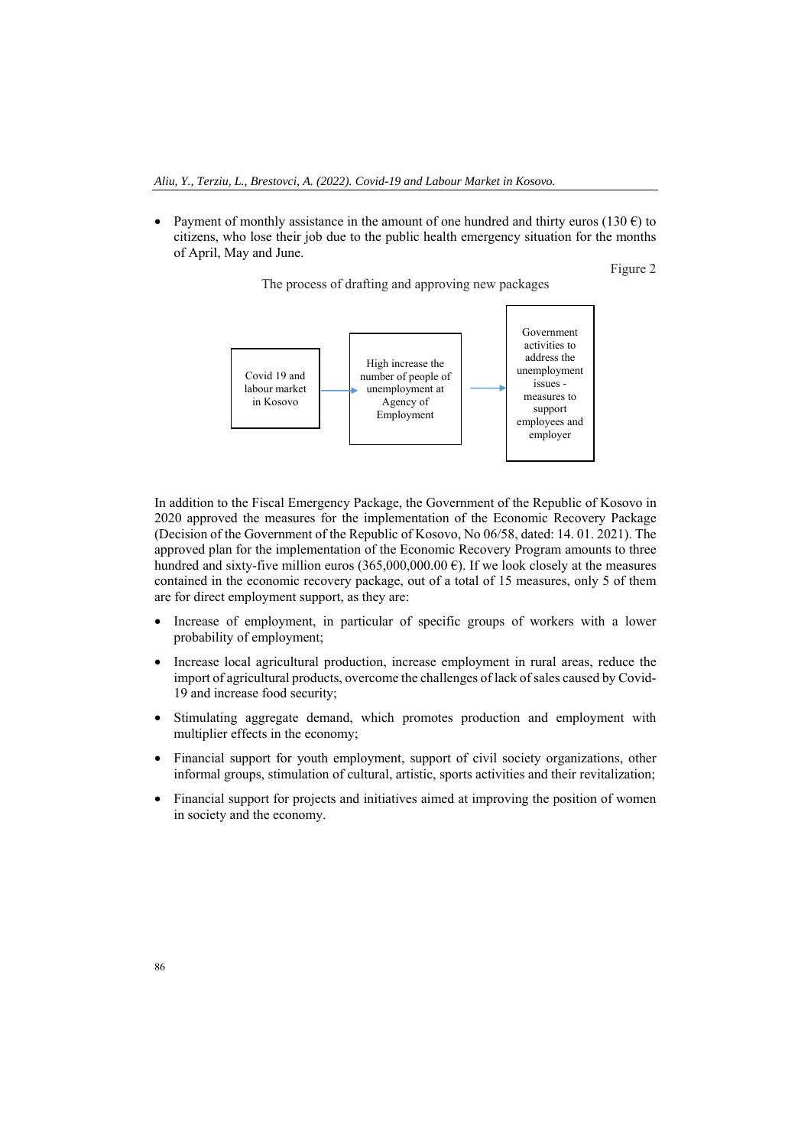• Payment of monthly assistance in the amount of one hundred and thirty euros (130  $\epsilon$ ) to citizens, who lose their job due to the public health emergency situation for the months of April, May and June.

The process of drafting and approving new packages

Figure 2



In addition to the Fiscal Emergency Package, the Government of the Republic of Kosovo in 2020 approved the measures for the implementation of the Economic Recovery Package (Decision of the Government of the Republic of Kosovo, No 06/58, dated: 14. 01. 2021). The approved plan for the implementation of the Economic Recovery Program amounts to three hundred and sixty-five million euros (365,000,000.00  $\epsilon$ ). If we look closely at the measures contained in the economic recovery package, out of a total of 15 measures, only 5 of them

are for direct employment support, as they are:

- Increase of employment, in particular of specific groups of workers with a lower probability of employment;
- Increase local agricultural production, increase employment in rural areas, reduce the import of agricultural products, overcome the challenges of lack of sales caused by Covid-19 and increase food security;
- Stimulating aggregate demand, which promotes production and employment with multiplier effects in the economy;
- Financial support for youth employment, support of civil society organizations, other informal groups, stimulation of cultural, artistic, sports activities and their revitalization;
- Financial support for projects and initiatives aimed at improving the position of women in society and the economy.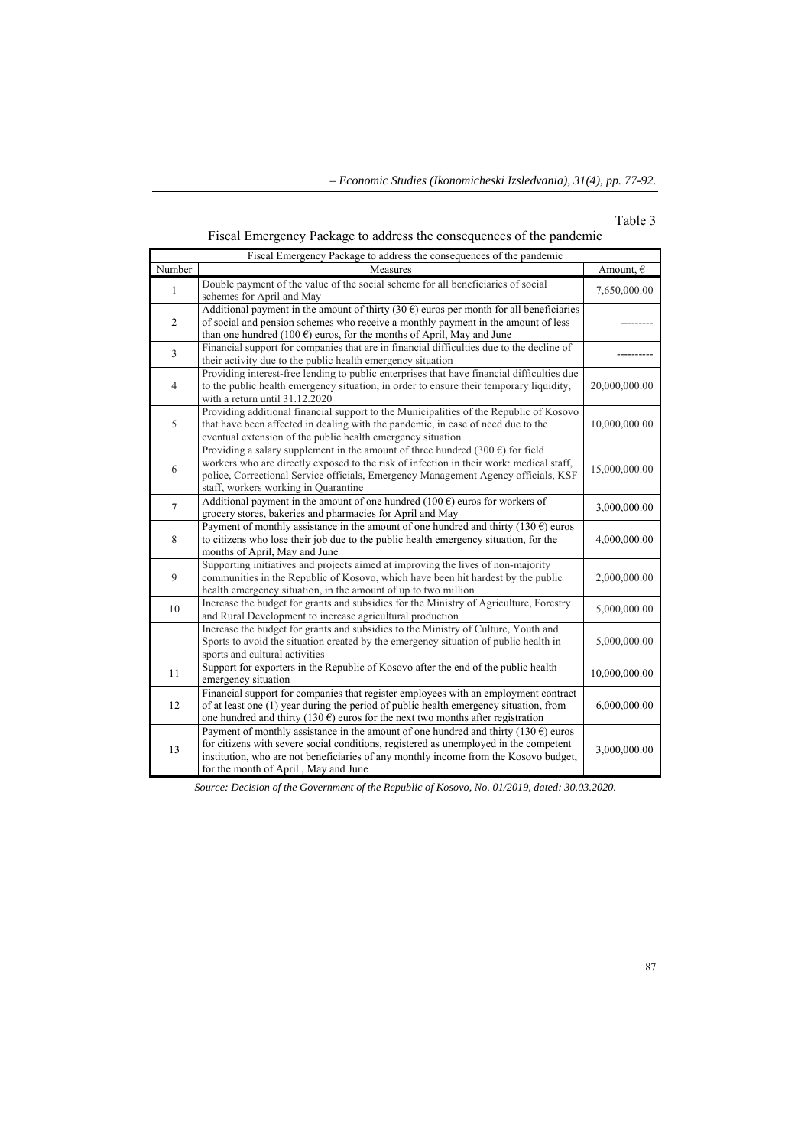# Table 3

Fiscal Emergency Package to address the consequences of the pandemic

| Fiscal Emergency Package to address the consequences of the pandemic |                                                                                                                                                                                                                                                                                                                        |               |  |  |
|----------------------------------------------------------------------|------------------------------------------------------------------------------------------------------------------------------------------------------------------------------------------------------------------------------------------------------------------------------------------------------------------------|---------------|--|--|
| Number                                                               | Measures                                                                                                                                                                                                                                                                                                               | Amount, $\in$ |  |  |
| 1                                                                    | Double payment of the value of the social scheme for all beneficiaries of social<br>schemes for April and May                                                                                                                                                                                                          | 7,650,000.00  |  |  |
| $\overline{2}$                                                       | Additional payment in the amount of thirty (30 $\epsilon$ ) euros per month for all beneficiaries<br>of social and pension schemes who receive a monthly payment in the amount of less<br>than one hundred (100 $\epsilon$ ) euros, for the months of April, May and June                                              |               |  |  |
| 3                                                                    | Financial support for companies that are in financial difficulties due to the decline of<br>their activity due to the public health emergency situation                                                                                                                                                                |               |  |  |
| $\overline{4}$                                                       | Providing interest-free lending to public enterprises that have financial difficulties due<br>to the public health emergency situation, in order to ensure their temporary liquidity,<br>with a return until 31.12.2020                                                                                                | 20,000,000.00 |  |  |
| 5                                                                    | Providing additional financial support to the Municipalities of the Republic of Kosovo<br>that have been affected in dealing with the pandemic, in case of need due to the<br>eventual extension of the public health emergency situation                                                                              | 10,000,000.00 |  |  |
| 6                                                                    | Providing a salary supplement in the amount of three hundred (300 $\epsilon$ ) for field<br>workers who are directly exposed to the risk of infection in their work: medical staff,<br>police, Correctional Service officials, Emergency Management Agency officials, KSF<br>staff, workers working in Quarantine      | 15,000,000.00 |  |  |
| $\overline{7}$                                                       | Additional payment in the amount of one hundred (100 $\epsilon$ ) euros for workers of<br>grocery stores, bakeries and pharmacies for April and May                                                                                                                                                                    | 3,000,000.00  |  |  |
| 8                                                                    | Payment of monthly assistance in the amount of one hundred and thirty (130 $\epsilon$ ) euros<br>to citizens who lose their job due to the public health emergency situation, for the<br>months of April, May and June                                                                                                 | 4,000,000.00  |  |  |
| 9                                                                    | Supporting initiatives and projects aimed at improving the lives of non-majority<br>communities in the Republic of Kosovo, which have been hit hardest by the public<br>health emergency situation, in the amount of up to two million                                                                                 | 2,000,000.00  |  |  |
| 10                                                                   | Increase the budget for grants and subsidies for the Ministry of Agriculture, Forestry<br>and Rural Development to increase agricultural production                                                                                                                                                                    | 5,000,000.00  |  |  |
|                                                                      | Increase the budget for grants and subsidies to the Ministry of Culture, Youth and<br>Sports to avoid the situation created by the emergency situation of public health in<br>sports and cultural activities                                                                                                           | 5,000,000.00  |  |  |
| 11                                                                   | Support for exporters in the Republic of Kosovo after the end of the public health<br>emergency situation                                                                                                                                                                                                              | 10,000,000.00 |  |  |
| 12                                                                   | Financial support for companies that register employees with an employment contract<br>of at least one (1) year during the period of public health emergency situation, from<br>one hundred and thirty (130 $\epsilon$ ) euros for the next two months after registration                                              | 6,000,000.00  |  |  |
| 13                                                                   | Payment of monthly assistance in the amount of one hundred and thirty (130 $\epsilon$ ) euros<br>for citizens with severe social conditions, registered as unemployed in the competent<br>institution, who are not beneficiaries of any monthly income from the Kosovo budget,<br>for the month of April, May and June | 3,000,000.00  |  |  |

*Source: Decision of the Government of the Republic of Kosovo, No. 01/2019, dated: 30.03.2020.*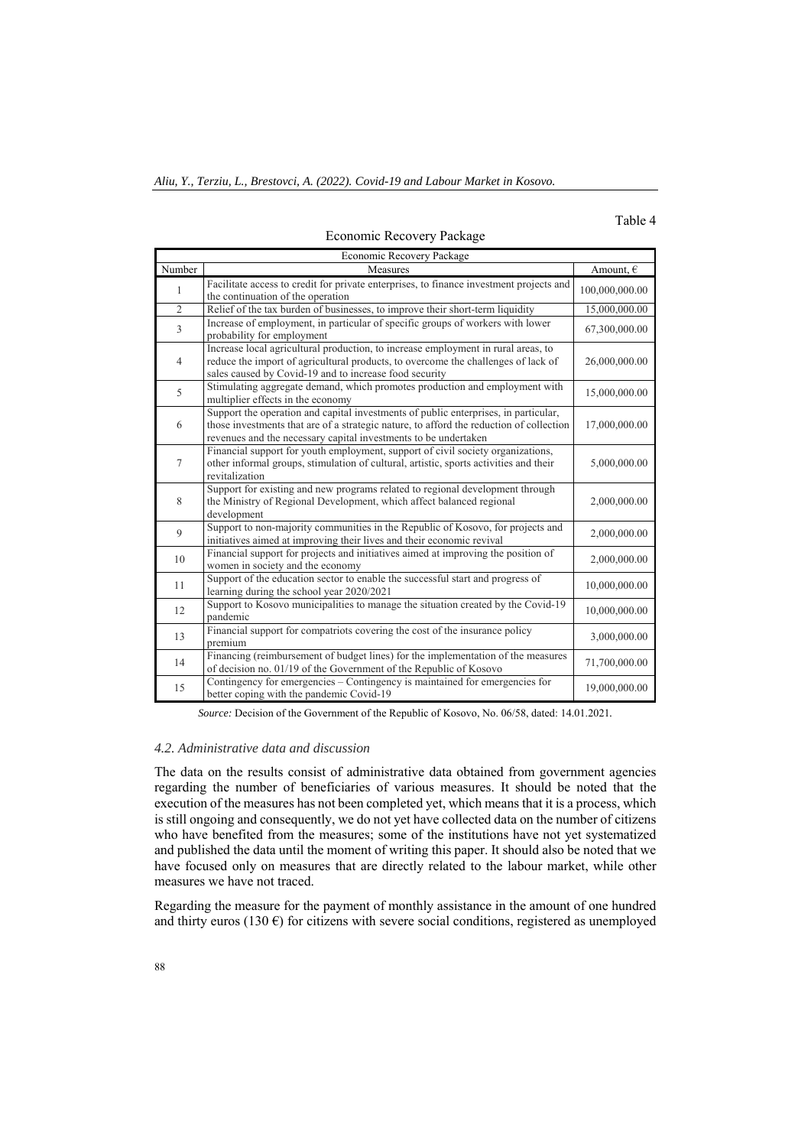# Table 4

| Economic Recovery Package |                                                                                                                                                                                                                                                   |                    |  |  |
|---------------------------|---------------------------------------------------------------------------------------------------------------------------------------------------------------------------------------------------------------------------------------------------|--------------------|--|--|
| Number                    | Measures                                                                                                                                                                                                                                          | Amount, $\epsilon$ |  |  |
| $\mathbf{1}$              | Facilitate access to credit for private enterprises, to finance investment projects and<br>the continuation of the operation                                                                                                                      | 100,000,000.00     |  |  |
| $\overline{2}$            | Relief of the tax burden of businesses, to improve their short-term liquidity                                                                                                                                                                     | 15,000,000.00      |  |  |
| $\overline{3}$            | Increase of employment, in particular of specific groups of workers with lower<br>probability for employment                                                                                                                                      | 67,300,000.00      |  |  |
| $\overline{4}$            | Increase local agricultural production, to increase employment in rural areas, to<br>reduce the import of agricultural products, to overcome the challenges of lack of<br>sales caused by Covid-19 and to increase food security                  | 26,000,000.00      |  |  |
| 5                         | Stimulating aggregate demand, which promotes production and employment with<br>multiplier effects in the economy                                                                                                                                  | 15,000,000.00      |  |  |
| 6                         | Support the operation and capital investments of public enterprises, in particular,<br>those investments that are of a strategic nature, to afford the reduction of collection<br>revenues and the necessary capital investments to be undertaken | 17,000,000.00      |  |  |
| $\tau$                    | Financial support for youth employment, support of civil society organizations,<br>other informal groups, stimulation of cultural, artistic, sports activities and their<br>revitalization                                                        | 5,000,000.00       |  |  |
| 8                         | Support for existing and new programs related to regional development through<br>the Ministry of Regional Development, which affect balanced regional<br>development                                                                              | 2,000,000.00       |  |  |
| 9                         | Support to non-majority communities in the Republic of Kosovo, for projects and<br>initiatives aimed at improving their lives and their economic revival                                                                                          | 2,000,000.00       |  |  |
| 10                        | Financial support for projects and initiatives aimed at improving the position of<br>women in society and the economy                                                                                                                             | 2,000,000.00       |  |  |
| 11                        | Support of the education sector to enable the successful start and progress of<br>learning during the school year 2020/2021                                                                                                                       | 10,000,000.00      |  |  |
| 12                        | Support to Kosovo municipalities to manage the situation created by the Covid-19<br>pandemic                                                                                                                                                      | 10,000,000.00      |  |  |
| 13                        | Financial support for compatriots covering the cost of the insurance policy<br>premium                                                                                                                                                            | 3,000,000.00       |  |  |
| 14                        | Financing (reimbursement of budget lines) for the implementation of the measures<br>of decision no. 01/19 of the Government of the Republic of Kosovo                                                                                             | 71,700,000.00      |  |  |
| 15                        | Contingency for emergencies – Contingency is maintained for emergencies for<br>better coping with the pandemic Covid-19                                                                                                                           | 19,000,000.00      |  |  |

### Economic Recovery Package

*Source:* Decision of the Government of the Republic of Kosovo, No. 06/58, dated: 14.01.2021*.* 

### *4.2. Administrative data and discussion*

The data on the results consist of administrative data obtained from government agencies regarding the number of beneficiaries of various measures. It should be noted that the execution of the measures has not been completed yet, which means that it is a process, which is still ongoing and consequently, we do not yet have collected data on the number of citizens who have benefited from the measures; some of the institutions have not yet systematized and published the data until the moment of writing this paper. It should also be noted that we have focused only on measures that are directly related to the labour market, while other measures we have not traced.

Regarding the measure for the payment of monthly assistance in the amount of one hundred and thirty euros (130  $\epsilon$ ) for citizens with severe social conditions, registered as unemployed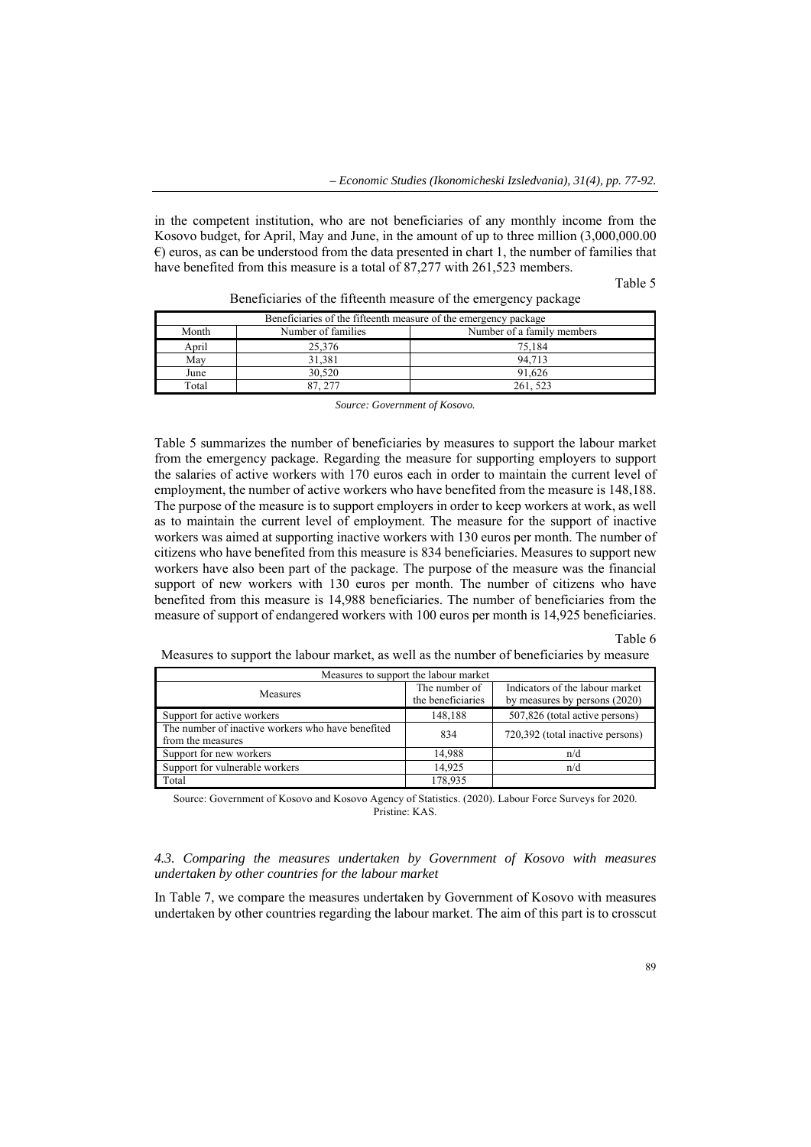in the competent institution, who are not beneficiaries of any monthly income from the Kosovo budget, for April, May and June, in the amount of up to three million (3,000,000.00  $\epsilon$ ) euros, as can be understood from the data presented in chart 1, the number of families that have benefited from this measure is a total of 87,277 with 261,523 members.

Table 5

| Beneficiaries of the fifteenth measure of the emergency package |                    |                            |  |  |
|-----------------------------------------------------------------|--------------------|----------------------------|--|--|
| Month                                                           | Number of families | Number of a family members |  |  |
| April                                                           | 25,376             | 75.184                     |  |  |
| May                                                             | 31,381             | 94.713                     |  |  |
| June                                                            | 30,520             | 91.626                     |  |  |
| Total                                                           | 87.277             | 261, 523                   |  |  |

Beneficiaries of the fifteenth measure of the emergency package

*Source: Government of Kosovo.* 

Table 5 summarizes the number of beneficiaries by measures to support the labour market from the emergency package. Regarding the measure for supporting employers to support the salaries of active workers with 170 euros each in order to maintain the current level of employment, the number of active workers who have benefited from the measure is 148,188. The purpose of the measure is to support employers in order to keep workers at work, as well as to maintain the current level of employment. The measure for the support of inactive workers was aimed at supporting inactive workers with 130 euros per month. The number of citizens who have benefited from this measure is 834 beneficiaries. Measures to support new workers have also been part of the package. The purpose of the measure was the financial support of new workers with 130 euros per month. The number of citizens who have benefited from this measure is 14,988 beneficiaries. The number of beneficiaries from the measure of support of endangered workers with 100 euros per month is 14,925 beneficiaries.

## Table 6

Measures to support the labour market, as well as the number of beneficiaries by measure

| Measures to support the labour market             |                   |                                  |  |  |
|---------------------------------------------------|-------------------|----------------------------------|--|--|
| <b>Measures</b>                                   | The number of     | Indicators of the labour market  |  |  |
|                                                   | the beneficiaries | by measures by persons (2020)    |  |  |
| Support for active workers                        | 148,188           | 507,826 (total active persons)   |  |  |
| The number of inactive workers who have benefited | 834               | 720,392 (total inactive persons) |  |  |
| from the measures                                 |                   |                                  |  |  |
| Support for new workers                           | 14.988            | n/d                              |  |  |
| Support for vulnerable workers                    | 14.925            | n/d                              |  |  |
| Total                                             | 178.935           |                                  |  |  |

Source: Government of Kosovo and Kosovo Agency of Statistics. (2020). Labour Force Surveys for 2020. Pristine: KAS.

### *4.3. Comparing the measures undertaken by Government of Kosovo with measures undertaken by other countries for the labour market*

In Table 7, we compare the measures undertaken by Government of Kosovo with measures undertaken by other countries regarding the labour market. The aim of this part is to crosscut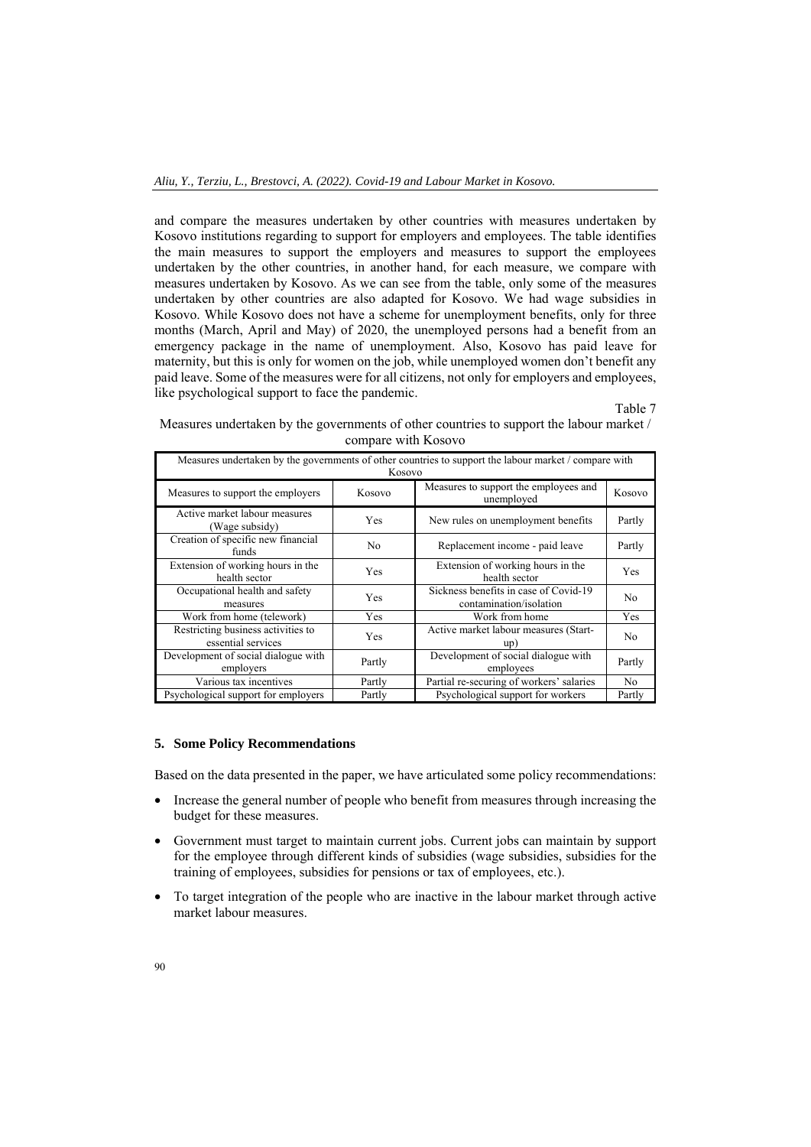and compare the measures undertaken by other countries with measures undertaken by Kosovo institutions regarding to support for employers and employees. The table identifies the main measures to support the employers and measures to support the employees undertaken by the other countries, in another hand, for each measure, we compare with measures undertaken by Kosovo. As we can see from the table, only some of the measures undertaken by other countries are also adapted for Kosovo. We had wage subsidies in Kosovo. While Kosovo does not have a scheme for unemployment benefits, only for three months (March, April and May) of 2020, the unemployed persons had a benefit from an emergency package in the name of unemployment. Also, Kosovo has paid leave for maternity, but this is only for women on the job, while unemployed women don't benefit any paid leave. Some of the measures were for all citizens, not only for employers and employees, like psychological support to face the pandemic.

Table 7

| Measures undertaken by the governments of other countries to support the labour market /              |  |  |  |
|-------------------------------------------------------------------------------------------------------|--|--|--|
| compare with Kosovo                                                                                   |  |  |  |
| Measures undertaken by the governments of other countries to support the labour market / compare with |  |  |  |

| Measures undertaken by the governments of other countries to support the labour market / compare with<br>Kosovo |            |                                                                  |        |  |  |
|-----------------------------------------------------------------------------------------------------------------|------------|------------------------------------------------------------------|--------|--|--|
| Measures to support the employers                                                                               | Kosovo     | Measures to support the employees and<br>unemployed              | Kosovo |  |  |
| Active market labour measures<br>(Wage subsidy)                                                                 | <b>Yes</b> | New rules on unemployment benefits                               | Partly |  |  |
| Creation of specific new financial<br>funds                                                                     | No         | Replacement income - paid leave                                  | Partly |  |  |
| Extension of working hours in the<br>health sector                                                              | <b>Yes</b> | Extension of working hours in the<br>health sector               | Yes    |  |  |
| Occupational health and safety<br>measures                                                                      | <b>Yes</b> | Sickness benefits in case of Covid-19<br>contamination/isolation | No.    |  |  |
| Work from home (telework)                                                                                       | Yes        | Work from home                                                   | Yes    |  |  |
| Restricting business activities to<br>essential services                                                        | <b>Yes</b> | Active market labour measures (Start-<br>up)                     | No.    |  |  |
| Development of social dialogue with<br>employers                                                                | Partly     | Development of social dialogue with<br>employees                 | Partly |  |  |
| Various tax incentives                                                                                          | Partly     | Partial re-securing of workers' salaries                         | No     |  |  |
| Psychological support for employers                                                                             | Partly     | Psychological support for workers                                | Partly |  |  |

## **5. Some Policy Recommendations**

Based on the data presented in the paper, we have articulated some policy recommendations:

- Increase the general number of people who benefit from measures through increasing the budget for these measures.
- Government must target to maintain current jobs. Current jobs can maintain by support for the employee through different kinds of subsidies (wage subsidies, subsidies for the training of employees, subsidies for pensions or tax of employees, etc.).
- To target integration of the people who are inactive in the labour market through active market labour measures.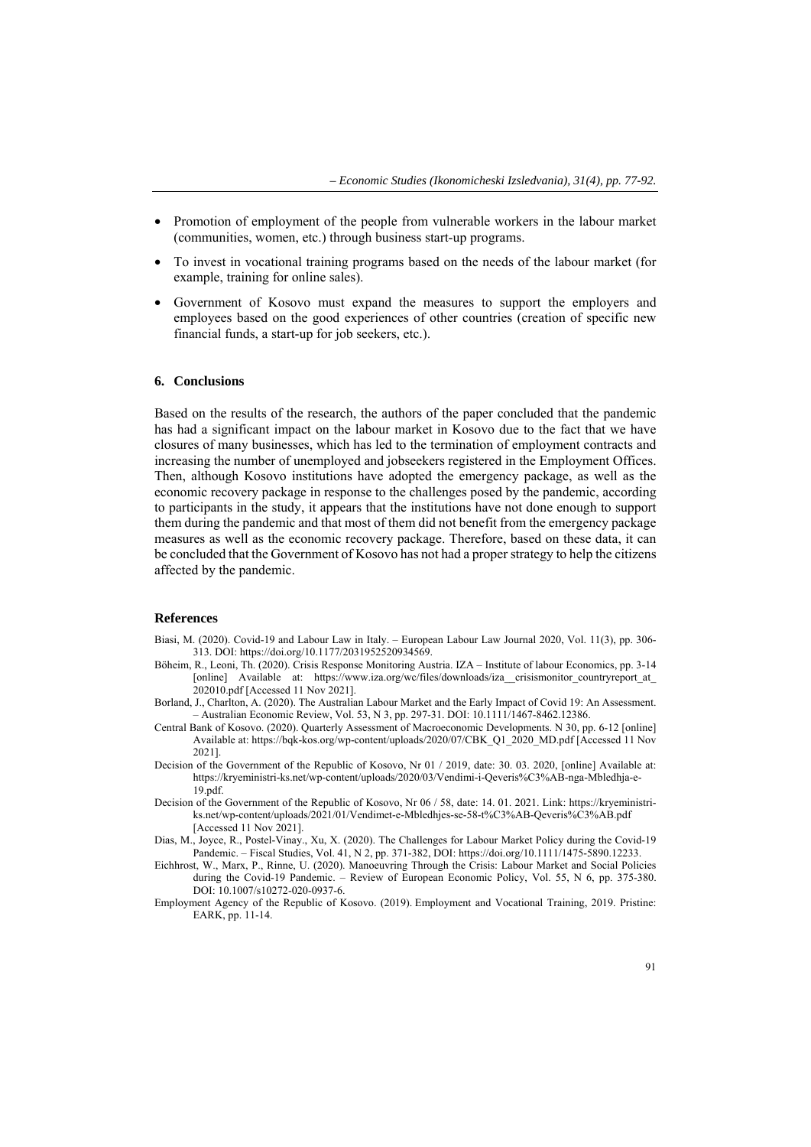- Promotion of employment of the people from vulnerable workers in the labour market (communities, women, etc.) through business start-up programs.
- To invest in vocational training programs based on the needs of the labour market (for example, training for online sales).
- Government of Kosovo must expand the measures to support the employers and employees based on the good experiences of other countries (creation of specific new financial funds, a start-up for job seekers, etc.).

#### **6. Conclusions**

Based on the results of the research, the authors of the paper concluded that the pandemic has had a significant impact on the labour market in Kosovo due to the fact that we have closures of many businesses, which has led to the termination of employment contracts and increasing the number of unemployed and jobseekers registered in the Employment Offices. Then, although Kosovo institutions have adopted the emergency package, as well as the economic recovery package in response to the challenges posed by the pandemic, according to participants in the study, it appears that the institutions have not done enough to support them during the pandemic and that most of them did not benefit from the emergency package measures as well as the economic recovery package. Therefore, based on these data, it can be concluded that the Government of Kosovo has not had a proper strategy to help the citizens affected by the pandemic.

### **References**

- Biasi, M. (2020). Covid-19 and Labour Law in Italy. European Labour Law Journal 2020, Vol. 11(3), pp. 306- 313. DOI: https://doi.org/10.1177/2031952520934569.
- Böheim, R., Leoni, Th. (2020). Crisis Response Monitoring Austria. IZA Institute of labour Economics, pp. 3-14 [online] Available at: https://www.iza.org/wc/files/downloads/iza\_crisismonitor\_countryreport\_at\_ 202010.pdf [Accessed 11 Nov 2021].
- Borland, J., Charlton, A. (2020). The Australian Labour Market and the Early Impact of Covid 19: An Assessment. – Australian Economic Review, Vol. 53, N 3, pp. 297-31. DOI: 10.1111/1467-8462.12386.
- Central Bank of Kosovo. (2020). Quarterly Assessment of Macroeconomic Developments. N 30, pp. 6-12 [online] Available at: https://bqk-kos.org/wp-content/uploads/2020/07/CBK\_Q1\_2020\_MD.pdf [Accessed 11 Nov 2021].
- Decision of the Government of the Republic of Kosovo, Nr 01 / 2019, date: 30. 03. 2020, [online] Available at: https://kryeministri-ks.net/wp-content/uploads/2020/03/Vendimi-i-Qeveris%C3%AB-nga-Mbledhja-e-19.pdf.
- Decision of the Government of the Republic of Kosovo, Nr 06 / 58, date: 14. 01. 2021. Link: https://kryeministriks.net/wp-content/uploads/2021/01/Vendimet-e-Mbledhjes-se-58-t%C3%AB-Qeveris%C3%AB.pdf [Accessed 11 Nov 2021].
- Dias, M., Joyce, R., Postel-Vinay., Xu, X. (2020). The Challenges for Labour Market Policy during the Covid-19 Pandemic. – Fiscal Studies, Vol. 41, N 2, pp. 371-382, DOI: https://doi.org/10.1111/1475-5890.12233.
- Eichhrost, W., Marx, P., Rinne, U. (2020). Manoeuvring Through the Crisis: Labour Market and Social Policies during the Covid-19 Pandemic. – Review of European Economic Policy, Vol. 55, N 6, pp. 375-380. DOI: 10.1007/s10272-020-0937-6.
- Employment Agency of the Republic of Kosovo. (2019). Employment and Vocational Training, 2019. Pristine: EARK, pp. 11-14.